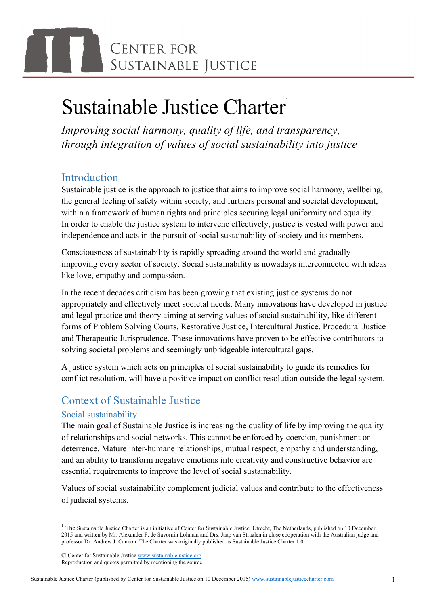# CENTER FOR **MAN** SUSTAINABLE JUSTICE

# Sustainable Justice Charter<sup>1</sup>

*Improving social harmony, quality of life, and transparency, through integration of values of social sustainability into justice*

# Introduction

Sustainable justice is the approach to justice that aims to improve social harmony, wellbeing, the general feeling of safety within society, and furthers personal and societal development, within a framework of human rights and principles securing legal uniformity and equality. In order to enable the justice system to intervene effectively, justice is vested with power and independence and acts in the pursuit of social sustainability of society and its members.

Consciousness of sustainability is rapidly spreading around the world and gradually improving every sector of society. Social sustainability is nowadays interconnected with ideas like love, empathy and compassion.

In the recent decades criticism has been growing that existing justice systems do not appropriately and effectively meet societal needs. Many innovations have developed in justice and legal practice and theory aiming at serving values of social sustainability, like different forms of Problem Solving Courts, Restorative Justice, Intercultural Justice, Procedural Justice and Therapeutic Jurisprudence. These innovations have proven to be effective contributors to solving societal problems and seemingly unbridgeable intercultural gaps.

A justice system which acts on principles of social sustainability to guide its remedies for conflict resolution, will have a positive impact on conflict resolution outside the legal system.

# Context of Sustainable Justice

### Social sustainability

The main goal of Sustainable Justice is increasing the quality of life by improving the quality of relationships and social networks. This cannot be enforced by coercion, punishment or deterrence. Mature inter-humane relationships, mutual respect, empathy and understanding, and an ability to transform negative emotions into creativity and constructive behavior are essential requirements to improve the level of social sustainability.

Values of social sustainability complement judicial values and contribute to the effectiveness of judicial systems.

<u> 1989 - Johann Stein, fransk politik (d. 1989)</u>

<sup>&</sup>lt;sup>1</sup> The Sustainable Justice Charter is an initiative of Center for Sustainable Justice, Utrecht, The Netherlands, published on 10 December 2015 and written by Mr. Alexander F. de Savornin Lohman and Drs. Jaap van Straalen in close cooperation with the Australian judge and professor Dr. Andrew J. Cannon. The Charter was originally published as Sustainable Justice Charter 1.0.

<sup>©</sup> Center for Sustainable Justice www.sustainablejustice.org Reproduction and quotes permitted by mentioning the source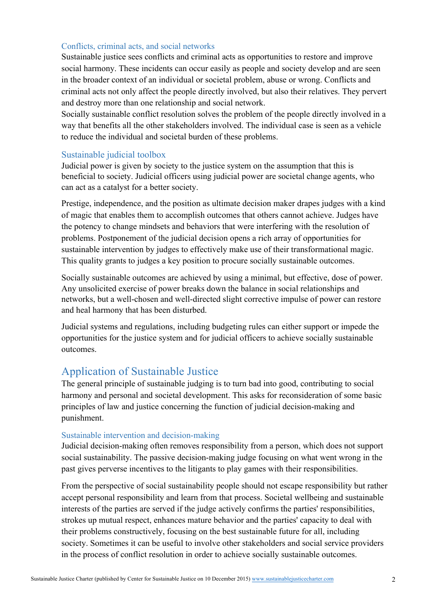#### Conflicts, criminal acts, and social networks

Sustainable justice sees conflicts and criminal acts as opportunities to restore and improve social harmony. These incidents can occur easily as people and society develop and are seen in the broader context of an individual or societal problem, abuse or wrong. Conflicts and criminal acts not only affect the people directly involved, but also their relatives. They pervert and destroy more than one relationship and social network.

Socially sustainable conflict resolution solves the problem of the people directly involved in a way that benefits all the other stakeholders involved. The individual case is seen as a vehicle to reduce the individual and societal burden of these problems.

#### Sustainable judicial toolbox

Judicial power is given by society to the justice system on the assumption that this is beneficial to society. Judicial officers using judicial power are societal change agents, who can act as a catalyst for a better society.

Prestige, independence, and the position as ultimate decision maker drapes judges with a kind of magic that enables them to accomplish outcomes that others cannot achieve. Judges have the potency to change mindsets and behaviors that were interfering with the resolution of problems. Postponement of the judicial decision opens a rich array of opportunities for sustainable intervention by judges to effectively make use of their transformational magic. This quality grants to judges a key position to procure socially sustainable outcomes.

Socially sustainable outcomes are achieved by using a minimal, but effective, dose of power. Any unsolicited exercise of power breaks down the balance in social relationships and networks, but a well-chosen and well-directed slight corrective impulse of power can restore and heal harmony that has been disturbed.

Judicial systems and regulations, including budgeting rules can either support or impede the opportunities for the justice system and for judicial officers to achieve socially sustainable outcomes.

## Application of Sustainable Justice

The general principle of sustainable judging is to turn bad into good, contributing to social harmony and personal and societal development. This asks for reconsideration of some basic principles of law and justice concerning the function of judicial decision-making and punishment.

#### Sustainable intervention and decision-making

Judicial decision-making often removes responsibility from a person, which does not support social sustainability. The passive decision-making judge focusing on what went wrong in the past gives perverse incentives to the litigants to play games with their responsibilities.

From the perspective of social sustainability people should not escape responsibility but rather accept personal responsibility and learn from that process. Societal wellbeing and sustainable interests of the parties are served if the judge actively confirms the parties' responsibilities, strokes up mutual respect, enhances mature behavior and the parties' capacity to deal with their problems constructively, focusing on the best sustainable future for all, including society. Sometimes it can be useful to involve other stakeholders and social service providers in the process of conflict resolution in order to achieve socially sustainable outcomes.